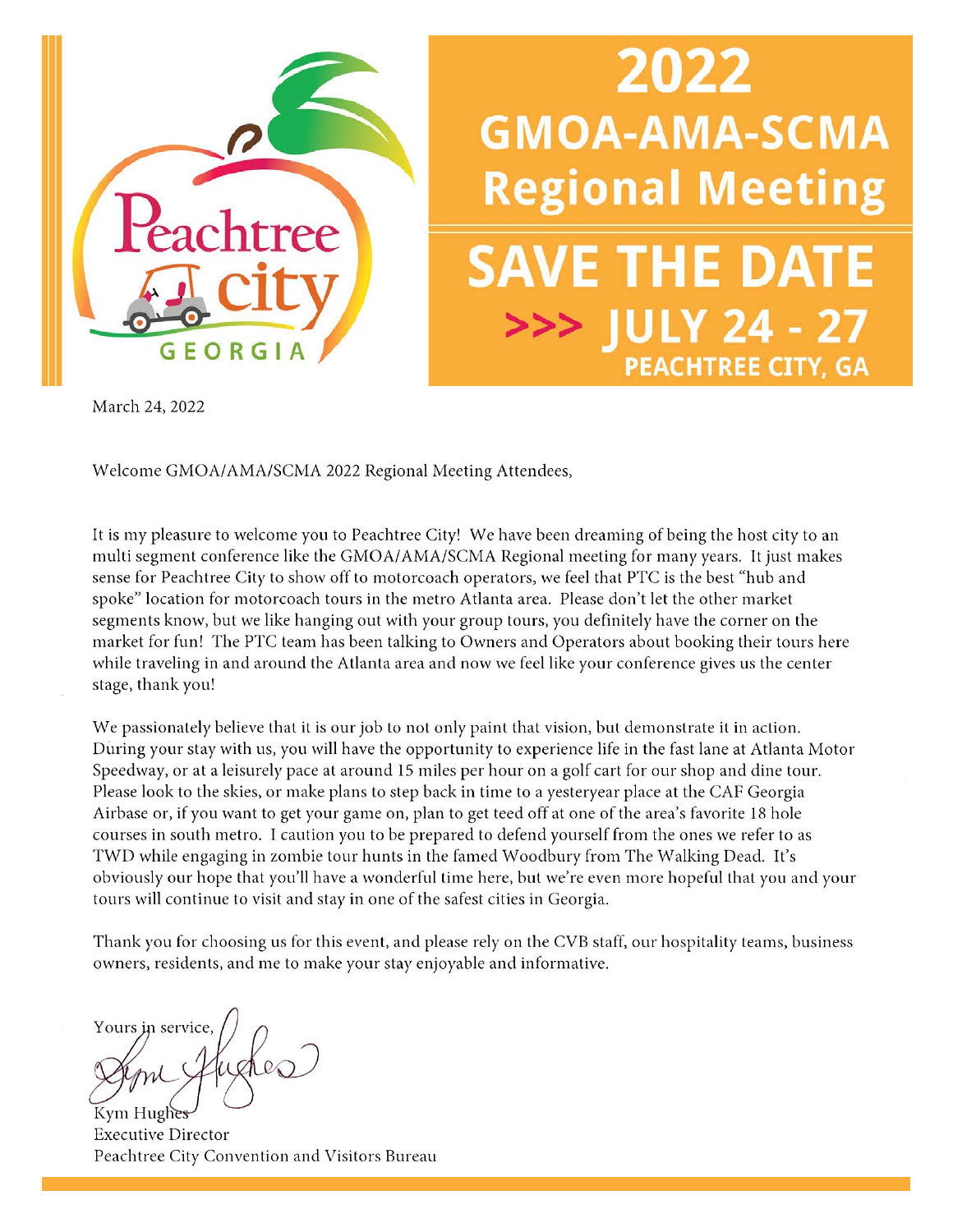

# 2022 **GMOA-AMA-SCMA Regional Meeting SAVE THE DATE** >>> JULY 24 - 27 **PEACHTREE CITY, GA**

March 24, 2022

Welcome GMOA/AMA/SCMA 2022 Regional Meeting Attendees,

It is my pleasure to welcome you to Peachtree City! We have been dreaming of being the host city to an multi segment conference like the GMOA/AMA/SCMA Regional meeting for many years. It just makes sense for Peachtree City to show off to motorcoach operators, we feel that PTC is the best "hub and spoke" location for motorcoach tours in the metro Atlanta area. Please don't let the other market segments know, but we like hanging out with your group tours, you definitely have the corner on the market for fun! The PTC team has been talking to Owners and Operators about booking their tours here while traveling in and around the Atlanta area and now we feel like your conference gives us the center stage, thank you!

We passionately believe that it is our job to not only paint that vision, but demonstrate it in action. During your stay with us, you will have the opportunity to experience life in the fast lane at Atlanta Motor Speedway, or at a leisurely pace at around 15 miles per hour on a golf cart for our shop and dine tour. Please look to the skies, or make plans to step back in time to a yesteryear place at the CAF Georgia Airbase or, if you want to get your game on, plan to get teed off at one of the area's favorite 18 hole courses in south metro. I caution you to be prepared to defend yourself from the ones we refer to as TWD while engaging in zombie tour hunts in the famed Woodbury from The Walking Dead. It's obviously our hope that you'll have a wonderful time here, but we're even more hopeful that you and your tours will continue to visit and stay in one of the safest cities in Georgia.

Thank you for choosing us for this event, and please rely on the CVB staff, our hospitality teams, business owners, residents, and me to make your stay enjoyable and informative.

Yours in service, ugles Kym Hughes

**Executive Director** Peachtree City Convention and Visitors Bureau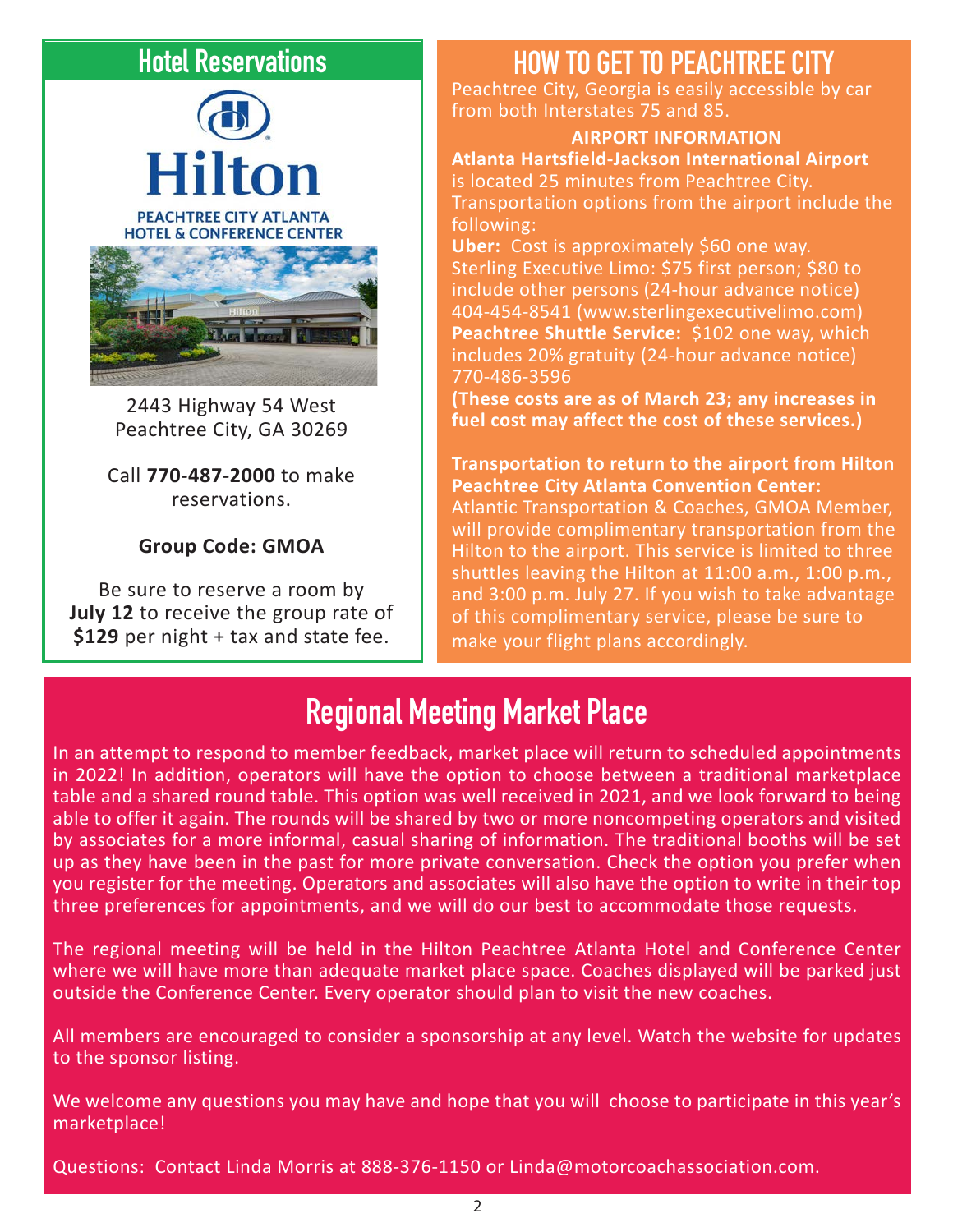

2443 Highway 54 West Peachtree City, GA 30269

Call **770-487-2000** to make reservations.

#### **Group Code: GMOA**

Be sure to reserve a room by **July 12** to receive the group rate of **\$129** per night + tax and state fee.

## **Hotel Reservations HOW TO GET TO PEACHTREE CITY**

Peachtree City, Georgia is easily accessible by car from both Interstates 75 and 85.

#### **AIRPORT INFORMATION**

#### **Atlanta Hartsfield-Jackson International Airport**

is located 25 minutes from Peachtree City. Transportation options from the airport include the following:

**Uber:** Cost is approximately \$60 one way. Sterling Executive Limo: \$75 first person; \$80 to include other persons (24-hour advance notice) 404-454-8541 (www.sterlingexecutivelimo.com) **Peachtree Shuttle Service: \$102 one way, which** includes 20% gratuity (24-hour advance notice) 770-486-3596

**(These costs are as of March 23; any increases in fuel cost may affect the cost of these services.)**

**Transportation to return to the airport from Hilton Peachtree City Atlanta Convention Center:**

Atlantic Transportation & Coaches, GMOA Member, will provide complimentary transportation from the Hilton to the airport. This service is limited to three shuttles leaving the Hilton at 11:00 a.m., 1:00 p.m., and 3:00 p.m. July 27. If you wish to take advantage of this complimentary service, please be sure to make your flight plans accordingly.

## **Regional Meeting Market Place**

In an attempt to respond to member feedback, market place will return to scheduled appointments in 2022! In addition, operators will have the option to choose between a traditional marketplace table and a shared round table. This option was well received in 2021, and we look forward to being able to offer it again. The rounds will be shared by two or more noncompeting operators and visited by associates for a more informal, casual sharing of information. The traditional booths will be set up as they have been in the past for more private conversation. Check the option you prefer when you register for the meeting. Operators and associates will also have the option to write in their top three preferences for appointments, and we will do our best to accommodate those requests.

The regional meeting will be held in the Hilton Peachtree Atlanta Hotel and Conference Center where we will have more than adequate market place space. Coaches displayed will be parked just outside the Conference Center. Every operator should plan to visit the new coaches.

All members are encouraged to consider a sponsorship at any level. Watch the website for updates to the sponsor listing.

We welcome any questions you may have and hope that you will choose to participate in this year's marketplace!

Questions: Contact Linda Morris at 888-376-1150 or Linda@motorcoachassociation.com.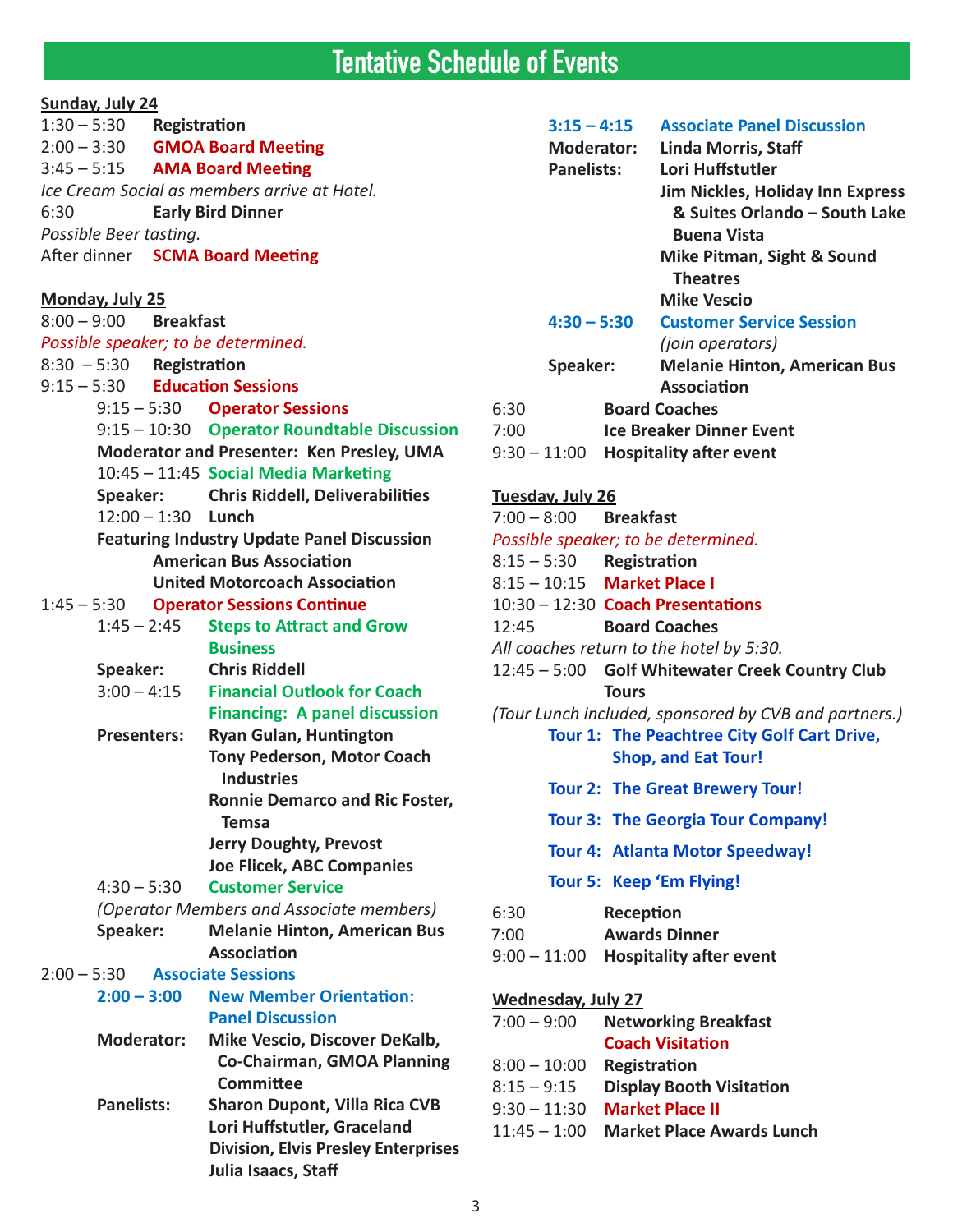## **Tentative Schedule of Events**

| Sunday, July 24                              |                   |                      |                                                                   |                                                                           |                                   |                                                       |
|----------------------------------------------|-------------------|----------------------|-------------------------------------------------------------------|---------------------------------------------------------------------------|-----------------------------------|-------------------------------------------------------|
| $1:30 - 5:30$<br>Registration                |                   |                      | $3:15 - 4:15$                                                     |                                                                           | <b>Associate Panel Discussion</b> |                                                       |
| $2:00 - 3:30$                                |                   |                      | <b>GMOA Board Meeting</b>                                         | <b>Moderator:</b>                                                         |                                   | <b>Linda Morris, Staff</b>                            |
| $3:45 - 5:15$                                |                   |                      | <b>AMA Board Meeting</b>                                          | <b>Panelists:</b>                                                         |                                   | Lori Huffstutler                                      |
| Ice Cream Social as members arrive at Hotel. |                   |                      |                                                                   |                                                                           |                                   | Jim Nickles, Holiday Inn Express                      |
| 6:30<br><b>Early Bird Dinner</b>             |                   |                      |                                                                   |                                                                           |                                   | & Suites Orlando - South Lake                         |
| Possible Beer tasting.                       |                   |                      |                                                                   |                                                                           |                                   | <b>Buena Vista</b>                                    |
| After dinner SCMA Board Meeting              |                   |                      |                                                                   |                                                                           |                                   | Mike Pitman, Sight & Sound<br><b>Theatres</b>         |
| <b>Monday, July 25</b>                       |                   |                      |                                                                   |                                                                           |                                   | <b>Mike Vescio</b>                                    |
| $8:00 - 9:00$<br><b>Breakfast</b>            |                   |                      |                                                                   | $4:30 - 5:30$                                                             |                                   | <b>Customer Service Session</b>                       |
| Possible speaker; to be determined.          |                   |                      |                                                                   |                                                                           |                                   | (join operators)                                      |
| $8:30 - 5:30$                                |                   | Registration         |                                                                   | Speaker:                                                                  |                                   | <b>Melanie Hinton, American Bus</b>                   |
| $9:15 - 5:30$                                |                   |                      | <b>Education Sessions</b>                                         |                                                                           |                                   | <b>Association</b>                                    |
|                                              |                   |                      | $9:15-5:30$ Operator Sessions                                     | 6:30                                                                      |                                   | <b>Board Coaches</b>                                  |
|                                              |                   |                      | 9:15 - 10:30 Operator Roundtable Discussion                       | 7:00                                                                      |                                   | <b>Ice Breaker Dinner Event</b>                       |
|                                              |                   |                      | Moderator and Presenter: Ken Presley, UMA                         | $9:30 - 11:00$ Hospitality after event                                    |                                   |                                                       |
|                                              |                   |                      | 10:45 - 11:45 Social Media Marketing                              |                                                                           |                                   |                                                       |
|                                              | Speaker:          |                      | <b>Chris Riddell, Deliverabilities</b>                            | <b>Tuesday, July 26</b>                                                   |                                   |                                                       |
|                                              |                   | $12:00 - 1:30$ Lunch |                                                                   | $7:00 - 8:00$<br><b>Breakfast</b>                                         |                                   |                                                       |
|                                              |                   |                      | <b>Featuring Industry Update Panel Discussion</b>                 | Possible speaker; to be determined.                                       |                                   |                                                       |
|                                              |                   |                      | <b>American Bus Association</b>                                   | $8:15-5:30$ Registration                                                  |                                   |                                                       |
|                                              |                   |                      | <b>United Motorcoach Association</b>                              | 8:15 - 10:15 Market Place I                                               |                                   |                                                       |
| $1:45 - 5:30$                                |                   |                      | <b>Operator Sessions Continue</b>                                 |                                                                           |                                   | $10:30 - 12:30$ Coach Presentations                   |
|                                              | $1:45 - 2:45$     |                      | <b>Steps to Attract and Grow</b>                                  | 12:45                                                                     |                                   | <b>Board Coaches</b>                                  |
|                                              |                   |                      | <b>Business</b>                                                   |                                                                           |                                   | All coaches return to the hotel by 5:30.              |
|                                              | Speaker:          |                      | <b>Chris Riddell</b>                                              |                                                                           |                                   | 12:45 - 5:00 Golf Whitewater Creek Country Club       |
|                                              | $3:00 - 4:15$     |                      | <b>Financial Outlook for Coach</b>                                |                                                                           | <b>Tours</b>                      |                                                       |
|                                              |                   |                      | <b>Financing: A panel discussion</b>                              |                                                                           |                                   | (Tour Lunch included, sponsored by CVB and partners.) |
| <b>Presenters:</b><br>$4:30 - 5:30$          |                   |                      | <b>Ryan Gulan, Huntington</b>                                     | Tour 1: The Peachtree City Golf Cart Drive,<br><b>Shop, and Eat Tour!</b> |                                   |                                                       |
|                                              |                   |                      | <b>Tony Pederson, Motor Coach</b>                                 |                                                                           |                                   |                                                       |
|                                              |                   |                      | <b>Industries</b>                                                 | <b>Tour 2: The Great Brewery Tour!</b>                                    |                                   |                                                       |
|                                              |                   |                      | <b>Ronnie Demarco and Ric Foster,</b>                             |                                                                           |                                   |                                                       |
|                                              |                   |                      | <b>Temsa</b>                                                      | <b>Tour 3: The Georgia Tour Company!</b>                                  |                                   |                                                       |
|                                              |                   |                      | <b>Jerry Doughty, Prevost</b><br>Joe Flicek, ABC Companies        | <b>Tour 4: Atlanta Motor Speedway!</b>                                    |                                   |                                                       |
|                                              |                   |                      | <b>Customer Service</b>                                           | Tour 5: Keep 'Em Flying!                                                  |                                   |                                                       |
|                                              |                   |                      | (Operator Members and Associate members)                          | 6:30                                                                      | Reception                         |                                                       |
|                                              | Speaker:          |                      | <b>Melanie Hinton, American Bus</b>                               | 7:00                                                                      |                                   | <b>Awards Dinner</b>                                  |
|                                              |                   |                      | <b>Association</b>                                                | $9:00 - 11:00$                                                            |                                   | <b>Hospitality after event</b>                        |
| <b>Associate Sessions</b><br>$2:00 - 5:30$   |                   |                      |                                                                   |                                                                           |                                   |                                                       |
| $2:00 - 3:00$                                |                   |                      | <b>New Member Orientation:</b>                                    | <b>Wednesday, July 27</b>                                                 |                                   |                                                       |
|                                              |                   |                      | <b>Panel Discussion</b>                                           | $7:00 - 9:00$                                                             |                                   | <b>Networking Breakfast</b>                           |
|                                              | <b>Moderator:</b> |                      | Mike Vescio, Discover DeKalb,                                     |                                                                           |                                   | <b>Coach Visitation</b>                               |
|                                              |                   |                      | <b>Co-Chairman, GMOA Planning</b>                                 | $8:00 - 10:00$                                                            | Registration                      |                                                       |
|                                              |                   |                      | <b>Committee</b>                                                  | $8:15 - 9:15$                                                             |                                   | <b>Display Booth Visitation</b>                       |
|                                              | <b>Panelists:</b> |                      | <b>Sharon Dupont, Villa Rica CVB</b>                              | 9:30 - 11:30 Market Place II                                              |                                   |                                                       |
|                                              |                   |                      | Lori Huffstutler, Graceland                                       |                                                                           |                                   | 11:45 - 1:00 Market Place Awards Lunch                |
|                                              |                   |                      | <b>Division, Elvis Presley Enterprises</b><br>Julia Isaacs, Staff |                                                                           |                                   |                                                       |